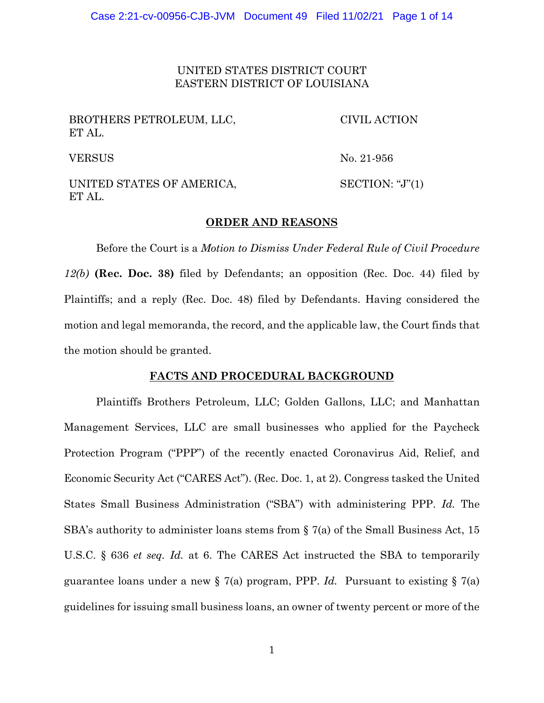UNITED STATES DISTRICT COURT EASTERN DISTRICT OF LOUISIANA

| BROTHERS PETROLEUM, LLC,<br>ET AL.  | CIVIL ACTION     |
|-------------------------------------|------------------|
| <b>VERSUS</b>                       | No. 21-956       |
| UNITED STATES OF AMERICA,<br>ET AL. | SECTION: "J" (1) |

# **ORDER AND REASONS**

Before the Court is a *Motion to Dismiss Under Federal Rule of Civil Procedure 12(b)* **(Rec. Doc. 38)** filed by Defendants; an opposition (Rec. Doc. 44) filed by Plaintiffs; and a reply (Rec. Doc. 48) filed by Defendants. Having considered the motion and legal memoranda, the record, and the applicable law, the Court finds that the motion should be granted.

# **FACTS AND PROCEDURAL BACKGROUND**

Plaintiffs Brothers Petroleum, LLC; Golden Gallons, LLC; and Manhattan Management Services, LLC are small businesses who applied for the Paycheck Protection Program ("PPP") of the recently enacted Coronavirus Aid, Relief, and Economic Security Act ("CARES Act"). (Rec. Doc. 1, at 2). Congress tasked the United States Small Business Administration ("SBA") with administering PPP. *Id.* The SBA's authority to administer loans stems from § 7(a) of the Small Business Act, 15 U.S.C. § 636 *et seq. Id.* at 6. The CARES Act instructed the SBA to temporarily guarantee loans under a new § 7(a) program, PPP. *Id.* Pursuant to existing § 7(a) guidelines for issuing small business loans, an owner of twenty percent or more of the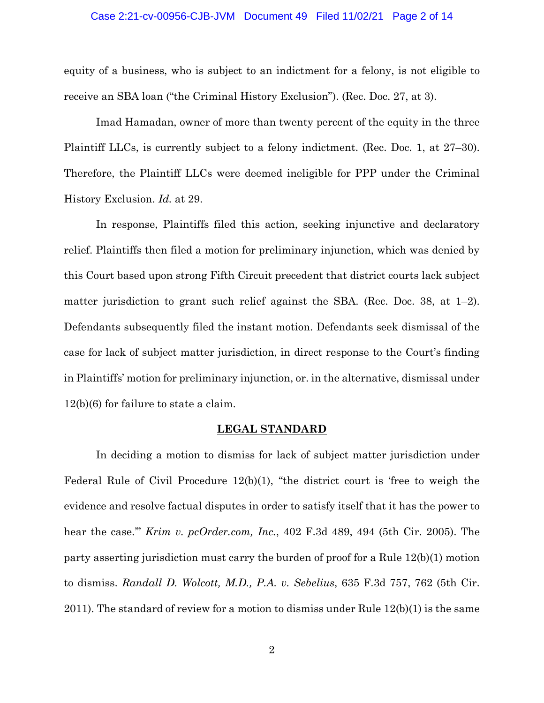#### Case 2:21-cv-00956-CJB-JVM Document 49 Filed 11/02/21 Page 2 of 14

equity of a business, who is subject to an indictment for a felony, is not eligible to receive an SBA loan ("the Criminal History Exclusion"). (Rec. Doc. 27, at 3).

Imad Hamadan, owner of more than twenty percent of the equity in the three Plaintiff LLCs, is currently subject to a felony indictment. (Rec. Doc. 1, at 27–30). Therefore, the Plaintiff LLCs were deemed ineligible for PPP under the Criminal History Exclusion. *Id.* at 29.

In response, Plaintiffs filed this action, seeking injunctive and declaratory relief. Plaintiffs then filed a motion for preliminary injunction, which was denied by this Court based upon strong Fifth Circuit precedent that district courts lack subject matter jurisdiction to grant such relief against the SBA. (Rec. Doc. 38, at  $1-2$ ). Defendants subsequently filed the instant motion. Defendants seek dismissal of the case for lack of subject matter jurisdiction, in direct response to the Court's finding in Plaintiffs' motion for preliminary injunction, or. in the alternative, dismissal under 12(b)(6) for failure to state a claim.

# **LEGAL STANDARD**

In deciding a motion to dismiss for lack of subject matter jurisdiction under Federal Rule of Civil Procedure 12(b)(1), "the district court is 'free to weigh the evidence and resolve factual disputes in order to satisfy itself that it has the power to hear the case.'" *Krim v. pcOrder.com, Inc.*, 402 F.3d 489, 494 (5th Cir. 2005). The party asserting jurisdiction must carry the burden of proof for a Rule 12(b)(1) motion to dismiss. *Randall D. Wolcott, M.D., P.A. v. Sebelius*, 635 F.3d 757, 762 (5th Cir. 2011). The standard of review for a motion to dismiss under Rule 12(b)(1) is the same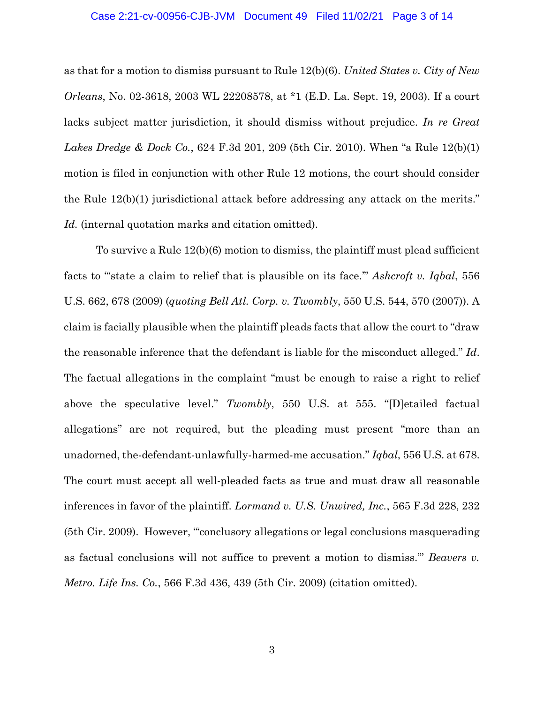#### Case 2:21-cv-00956-CJB-JVM Document 49 Filed 11/02/21 Page 3 of 14

as that for a motion to dismiss pursuant to Rule 12(b)(6). *United States v. City of New Orleans*, No. 02-3618, 2003 WL 22208578, at \*1 (E.D. La. Sept. 19, 2003). If a court lacks subject matter jurisdiction, it should dismiss without prejudice. *In re Great Lakes Dredge & Dock Co.*, 624 F.3d 201, 209 (5th Cir. 2010). When "a Rule 12(b)(1) motion is filed in conjunction with other Rule 12 motions, the court should consider the Rule 12(b)(1) jurisdictional attack before addressing any attack on the merits." *Id.* (internal quotation marks and citation omitted).

To survive a Rule 12(b)(6) motion to dismiss, the plaintiff must plead sufficient facts to "'state a claim to relief that is plausible on its face.'" *Ashcroft v. Iqbal*, 556 U.S. 662, 678 (2009) (*quoting Bell Atl. Corp. v. Twombly*, 550 U.S. 544, 570 (2007)). A claim is facially plausible when the plaintiff pleads facts that allow the court to "draw the reasonable inference that the defendant is liable for the misconduct alleged." *Id*. The factual allegations in the complaint "must be enough to raise a right to relief above the speculative level." *Twombly*, 550 U.S. at 555. "[D]etailed factual allegations" are not required, but the pleading must present "more than an unadorned, the-defendant-unlawfully-harmed-me accusation." *Iqbal*, 556 U.S. at 678. The court must accept all well-pleaded facts as true and must draw all reasonable inferences in favor of the plaintiff. *Lormand v. U.S. Unwired, Inc.*, 565 F.3d 228, 232 (5th Cir. 2009). However, "'conclusory allegations or legal conclusions masquerading as factual conclusions will not suffice to prevent a motion to dismiss.'" *Beavers v. Metro. Life Ins. Co.*, 566 F.3d 436, 439 (5th Cir. 2009) (citation omitted).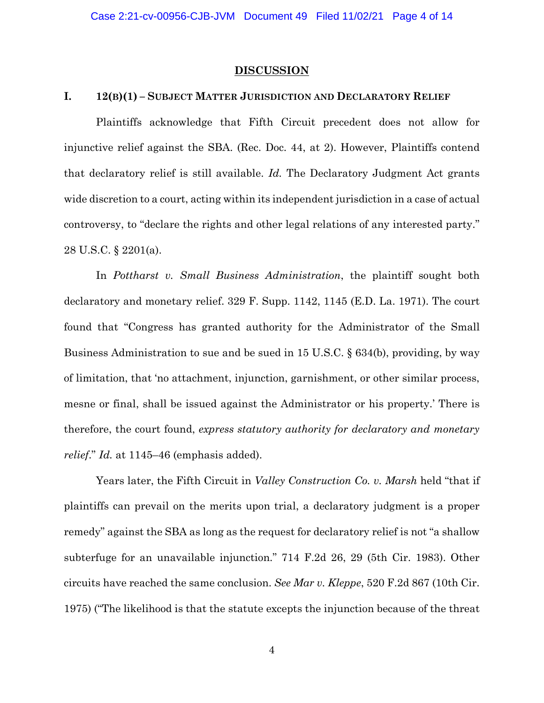#### **DISCUSSION**

#### **I. 12(B)(1) – SUBJECT MATTER JURISDICTION AND DECLARATORY RELIEF**

Plaintiffs acknowledge that Fifth Circuit precedent does not allow for injunctive relief against the SBA. (Rec. Doc. 44, at 2). However, Plaintiffs contend that declaratory relief is still available. *Id.* The Declaratory Judgment Act grants wide discretion to a court, acting within its independent jurisdiction in a case of actual controversy, to "declare the rights and other legal relations of any interested party." 28 U.S.C. § 2201(a).

In *Pottharst v. Small Business Administration*, the plaintiff sought both declaratory and monetary relief. 329 F. Supp. 1142, 1145 (E.D. La. 1971). The court found that "Congress has granted authority for the Administrator of the Small Business Administration to sue and be sued in 15 U.S.C. § 634(b), providing, by way of limitation, that 'no attachment, injunction, garnishment, or other similar process, mesne or final, shall be issued against the Administrator or his property.' There is therefore, the court found, *express statutory authority for declaratory and monetary relief*." *Id.* at 1145–46 (emphasis added).

Years later, the Fifth Circuit in *Valley Construction Co. v. Marsh* held "that if plaintiffs can prevail on the merits upon trial, a declaratory judgment is a proper remedy" against the SBA as long as the request for declaratory relief is not "a shallow subterfuge for an unavailable injunction." 714 F.2d 26, 29 (5th Cir. 1983). Other circuits have reached the same conclusion. *See Mar v. Kleppe*, 520 F.2d 867 (10th Cir. 1975) ("The likelihood is that the statute excepts the injunction because of the threat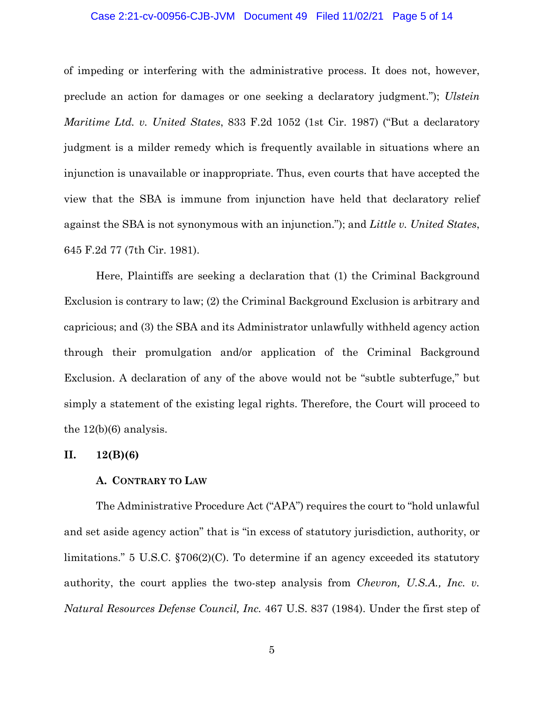#### Case 2:21-cv-00956-CJB-JVM Document 49 Filed 11/02/21 Page 5 of 14

of impeding or interfering with the administrative process. It does not, however, preclude an action for damages or one seeking a declaratory judgment."); *Ulstein Maritime Ltd. v. United States*, 833 F.2d 1052 (1st Cir. 1987) ("But a declaratory judgment is a milder remedy which is frequently available in situations where an injunction is unavailable or inappropriate. Thus, even courts that have accepted the view that the SBA is immune from injunction have held that declaratory relief against the SBA is not synonymous with an injunction."); and *Little v. United States*, 645 F.2d 77 (7th Cir. 1981).

Here, Plaintiffs are seeking a declaration that (1) the Criminal Background Exclusion is contrary to law; (2) the Criminal Background Exclusion is arbitrary and capricious; and (3) the SBA and its Administrator unlawfully withheld agency action through their promulgation and/or application of the Criminal Background Exclusion. A declaration of any of the above would not be "subtle subterfuge," but simply a statement of the existing legal rights. Therefore, the Court will proceed to the 12(b)(6) analysis.

# **II. 12(B)(6)**

#### **A. CONTRARY TO LAW**

The Administrative Procedure Act ("APA") requires the court to "hold unlawful and set aside agency action" that is "in excess of statutory jurisdiction, authority, or limitations." 5 U.S.C. §706(2)(C). To determine if an agency exceeded its statutory authority, the court applies the two-step analysis from *Chevron, U.S.A., Inc. v. Natural Resources Defense Council, Inc.* 467 U.S. 837 (1984). Under the first step of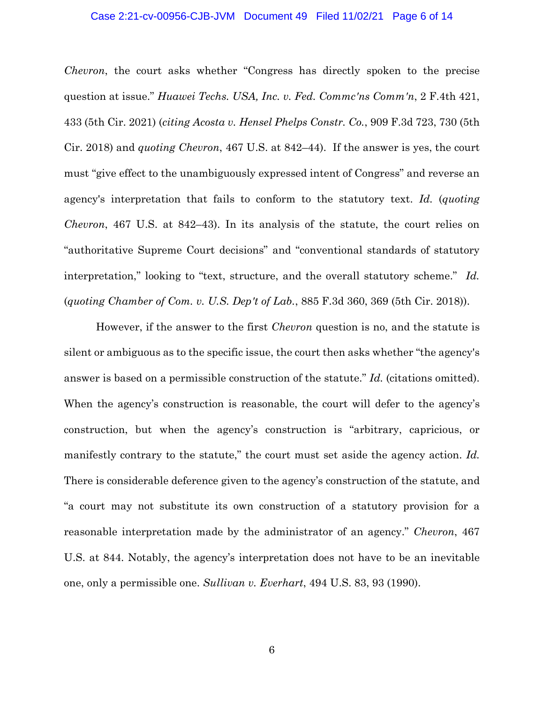## Case 2:21-cv-00956-CJB-JVM Document 49 Filed 11/02/21 Page 6 of 14

*Chevron*, the court asks whether "Congress has directly spoken to the precise question at issue." *Huawei Techs. USA, Inc. v. Fed. Commc'ns Comm'n*, 2 F.4th 421, 433 (5th Cir. 2021) (*citing Acosta v. Hensel Phelps Constr. Co.*, 909 F.3d 723, 730 (5th Cir. 2018) and *quoting Chevron*, 467 U.S. at 842–44). If the answer is yes, the court must "give effect to the unambiguously expressed intent of Congress" and reverse an agency's interpretation that fails to conform to the statutory text. *Id.* (*quoting Chevron*, 467 U.S. at 842–43). In its analysis of the statute, the court relies on "authoritative Supreme Court decisions" and "conventional standards of statutory interpretation," looking to "text, structure, and the overall statutory scheme." *Id.* (*quoting Chamber of Com. v. U.S. Dep't of Lab.*, 885 F.3d 360, 369 (5th Cir. 2018)).

However, if the answer to the first *Chevron* question is no, and the statute is silent or ambiguous as to the specific issue, the court then asks whether "the agency's answer is based on a permissible construction of the statute." *Id.* (citations omitted). When the agency's construction is reasonable, the court will defer to the agency's construction, but when the agency's construction is "arbitrary, capricious, or manifestly contrary to the statute," the court must set aside the agency action. *Id.* There is considerable deference given to the agency's construction of the statute, and "a court may not substitute its own construction of a statutory provision for a reasonable interpretation made by the administrator of an agency." *Chevron*, 467 U.S. at 844. Notably, the agency's interpretation does not have to be an inevitable one, only a permissible one. *Sullivan v. Everhart*, 494 U.S. 83, 93 (1990).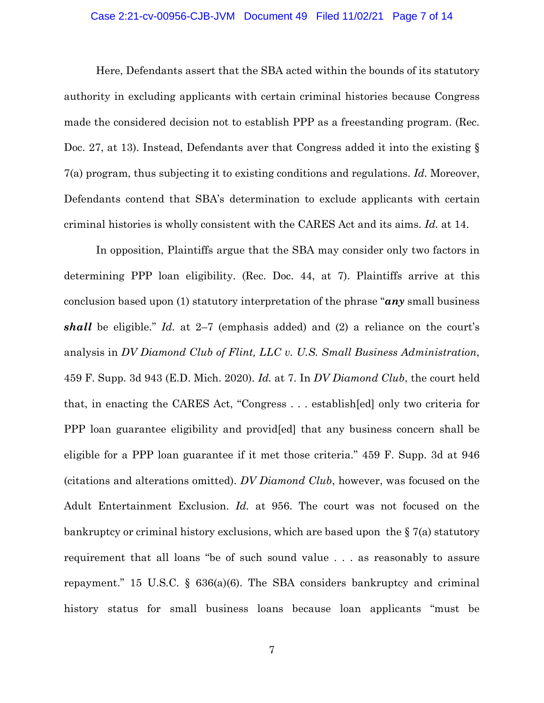#### Case 2:21-cv-00956-CJB-JVM Document 49 Filed 11/02/21 Page 7 of 14

Here, Defendants assert that the SBA acted within the bounds of its statutory authority in excluding applicants with certain criminal histories because Congress made the considered decision not to establish PPP as a freestanding program. (Rec. Doc. 27, at 13). Instead, Defendants aver that Congress added it into the existing § 7(a) program, thus subjecting it to existing conditions and regulations. *Id.* Moreover, Defendants contend that SBA's determination to exclude applicants with certain criminal histories is wholly consistent with the CARES Act and its aims. *Id.* at 14.

In opposition, Plaintiffs argue that the SBA may consider only two factors in determining PPP loan eligibility. (Rec. Doc. 44, at 7). Plaintiffs arrive at this conclusion based upon (1) statutory interpretation of the phrase "*any* small business *shall* be eligible." *Id.* at 2–7 (emphasis added) and (2) a reliance on the court's analysis in *DV Diamond Club of Flint, LLC v. U.S. Small Business Administration*, 459 F. Supp. 3d 943 (E.D. Mich. 2020). *Id.* at 7. In *DV Diamond Club*, the court held that, in enacting the CARES Act, "Congress . . . establish[ed] only two criteria for PPP loan guarantee eligibility and provid[ed] that any business concern shall be eligible for a PPP loan guarantee if it met those criteria." 459 F. Supp. 3d at 946 (citations and alterations omitted). *DV Diamond Club*, however, was focused on the Adult Entertainment Exclusion. *Id.* at 956. The court was not focused on the bankruptcy or criminal history exclusions, which are based upon the § 7(a) statutory requirement that all loans "be of such sound value . . . as reasonably to assure repayment." 15 U.S.C.  $\S$  636(a)(6). The SBA considers bankruptcy and criminal history status for small business loans because loan applicants "must be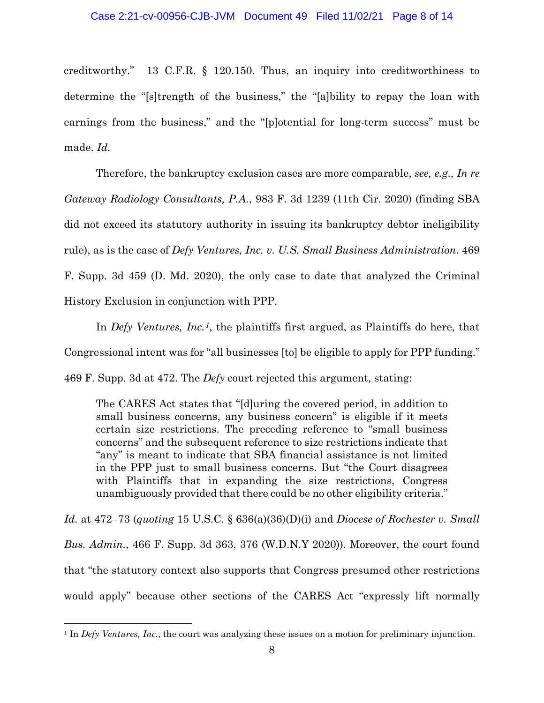creditworthy." 13 C.F.R. § 120.150. Thus, an inquiry into creditworthiness to determine the "[s]trength of the business," the "[a]bility to repay the loan with earnings from the business," and the "[p]otential for long-term success" must be made. *Id.*

Therefore, the bankruptcy exclusion cases are more comparable, *see, e.g., In re Gateway Radiology Consultants, P.A.*, 983 F. 3d 1239 (11th Cir. 2020) (finding SBA did not exceed its statutory authority in issuing its bankruptcy debtor ineligibility rule), as is the case of *Defy Ventures, Inc. v. U.S. Small Business Administration*. 469 F. Supp. 3d 459 (D. Md. 2020), the only case to date that analyzed the Criminal History Exclusion in conjunction with PPP.

In *Defy Ventures, Inc.1*, the plaintiffs first argued, as Plaintiffs do here, that Congressional intent was for "all businesses [to] be eligible to apply for PPP funding." 469 F. Supp. 3d at 472. The *Defy* court rejected this argument, stating:

The CARES Act states that "[d]uring the covered period, in addition to small business concerns, any business concern" is eligible if it meets certain size restrictions. The preceding reference to "small business concerns" and the subsequent reference to size restrictions indicate that "any" is meant to indicate that SBA financial assistance is not limited in the PPP just to small business concerns. But "the Court disagrees with Plaintiffs that in expanding the size restrictions, Congress unambiguously provided that there could be no other eligibility criteria."

*Id.* at 472–73 (*quoting* 15 U.S.C. § 636(a)(36)(D)(i) and *Diocese of Rochester v. Small Bus. Admin.*, 466 F. Supp. 3d 363, 376 (W.D.N.Y 2020)). Moreover, the court found that "the statutory context also supports that Congress presumed other restrictions would apply" because other sections of the CARES Act "expressly lift normally

<sup>1</sup> In *Defy Ventures, Inc.*, the court was analyzing these issues on a motion for preliminary injunction.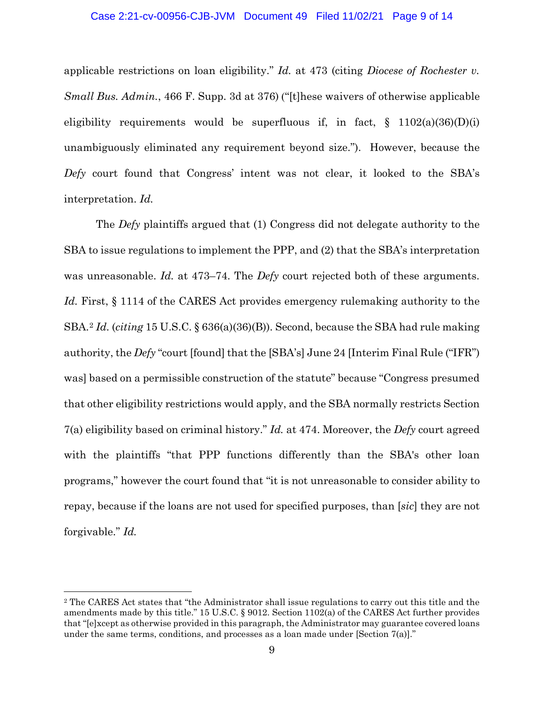# Case 2:21-cv-00956-CJB-JVM Document 49 Filed 11/02/21 Page 9 of 14

applicable restrictions on loan eligibility." *Id.* at 473 (citing *Diocese of Rochester v. Small Bus. Admin.*, 466 F. Supp. 3d at 376) ("[t]hese waivers of otherwise applicable eligibility requirements would be superfluous if, in fact,  $\S$  1102(a)(36)(D)(i) unambiguously eliminated any requirement beyond size."). However, because the *Defy* court found that Congress' intent was not clear, it looked to the SBA's interpretation. *Id.*

The *Defy* plaintiffs argued that (1) Congress did not delegate authority to the SBA to issue regulations to implement the PPP, and (2) that the SBA's interpretation was unreasonable. *Id.* at 473–74. The *Defy* court rejected both of these arguments. *Id.* First, § 1114 of the CARES Act provides emergency rulemaking authority to the SBA.2 *Id.* (*citing* 15 U.S.C. § 636(a)(36)(B)). Second, because the SBA had rule making authority, the *Defy* "court [found] that the [SBA's] June 24 [Interim Final Rule ("IFR") was] based on a permissible construction of the statute" because "Congress presumed that other eligibility restrictions would apply, and the SBA normally restricts Section 7(a) eligibility based on criminal history." *Id.* at 474. Moreover, the *Defy* court agreed with the plaintiffs "that PPP functions differently than the SBA's other loan programs," however the court found that "it is not unreasonable to consider ability to repay, because if the loans are not used for specified purposes, than [*sic*] they are not forgivable." *Id.*

<sup>2</sup> The CARES Act states that "the Administrator shall issue regulations to carry out this title and the amendments made by this title." 15 U.S.C. § 9012. Section 1102(a) of the CARES Act further provides that "[e]xcept as otherwise provided in this paragraph, the Administrator may guarantee covered loans under the same terms, conditions, and processes as a loan made under [Section 7(a)]."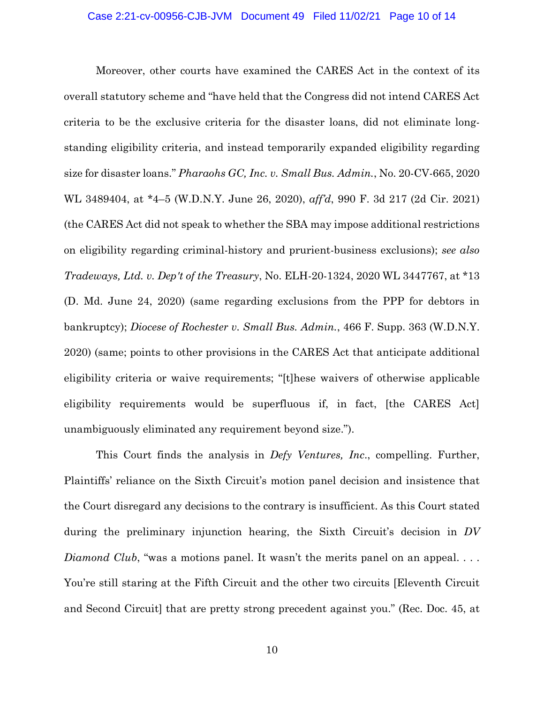Moreover, other courts have examined the CARES Act in the context of its overall statutory scheme and "have held that the Congress did not intend CARES Act criteria to be the exclusive criteria for the disaster loans, did not eliminate longstanding eligibility criteria, and instead temporarily expanded eligibility regarding size for disaster loans." *Pharaohs GC, Inc. v. Small Bus. Admin.*, No. 20-CV-665, 2020 WL 3489404, at \*4–5 (W.D.N.Y. June 26, 2020), *aff'd*, 990 F. 3d 217 (2d Cir. 2021) (the CARES Act did not speak to whether the SBA may impose additional restrictions on eligibility regarding criminal-history and prurient-business exclusions); *see also Tradeways, Ltd. v. Dep't of the Treasury*, No. ELH-20-1324, 2020 WL 3447767, at \*13 (D. Md. June 24, 2020) (same regarding exclusions from the PPP for debtors in bankruptcy); *Diocese of Rochester v. Small Bus. Admin.*, 466 F. Supp. 363 (W.D.N.Y. 2020) (same; points to other provisions in the CARES Act that anticipate additional eligibility criteria or waive requirements; "[t]hese waivers of otherwise applicable eligibility requirements would be superfluous if, in fact, [the CARES Act] unambiguously eliminated any requirement beyond size.").

This Court finds the analysis in *Defy Ventures, Inc*., compelling. Further, Plaintiffs' reliance on the Sixth Circuit's motion panel decision and insistence that the Court disregard any decisions to the contrary is insufficient. As this Court stated during the preliminary injunction hearing, the Sixth Circuit's decision in *DV Diamond Club*, "was a motions panel. It wasn't the merits panel on an appeal... You're still staring at the Fifth Circuit and the other two circuits [Eleventh Circuit and Second Circuit] that are pretty strong precedent against you." (Rec. Doc. 45, at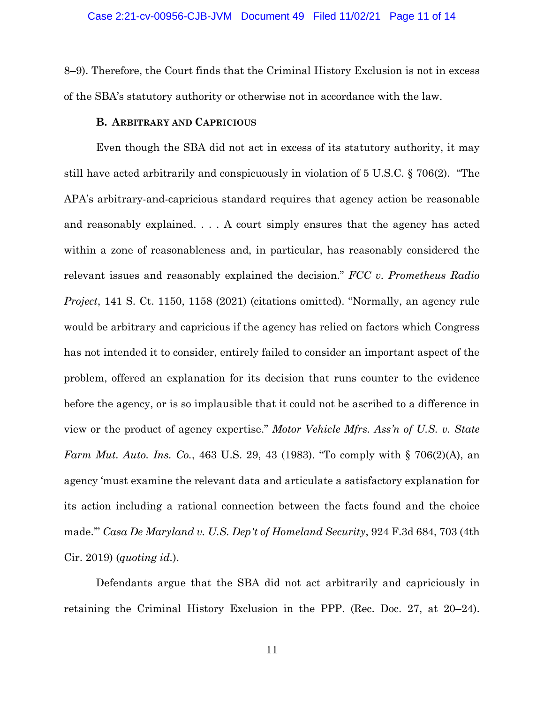8–9). Therefore, the Court finds that the Criminal History Exclusion is not in excess of the SBA's statutory authority or otherwise not in accordance with the law.

# **B. ARBITRARY AND CAPRICIOUS**

Even though the SBA did not act in excess of its statutory authority, it may still have acted arbitrarily and conspicuously in violation of 5 U.S.C. § 706(2). "The APA's arbitrary-and-capricious standard requires that agency action be reasonable and reasonably explained. . . . A court simply ensures that the agency has acted within a zone of reasonableness and, in particular, has reasonably considered the relevant issues and reasonably explained the decision." *FCC v. Prometheus Radio Project*, 141 S. Ct. 1150, 1158 (2021) (citations omitted). "Normally, an agency rule would be arbitrary and capricious if the agency has relied on factors which Congress has not intended it to consider, entirely failed to consider an important aspect of the problem, offered an explanation for its decision that runs counter to the evidence before the agency, or is so implausible that it could not be ascribed to a difference in view or the product of agency expertise." *Motor Vehicle Mfrs. Ass'n of U.S. v. State Farm Mut. Auto. Ins. Co.*, 463 U.S. 29, 43 (1983). "To comply with § 706(2)(A), an agency 'must examine the relevant data and articulate a satisfactory explanation for its action including a rational connection between the facts found and the choice made.'" *Casa De Maryland v. U.S. Dep't of Homeland Security*, 924 F.3d 684, 703 (4th Cir. 2019) (*quoting id.*).

Defendants argue that the SBA did not act arbitrarily and capriciously in retaining the Criminal History Exclusion in the PPP. (Rec. Doc. 27, at 20–24).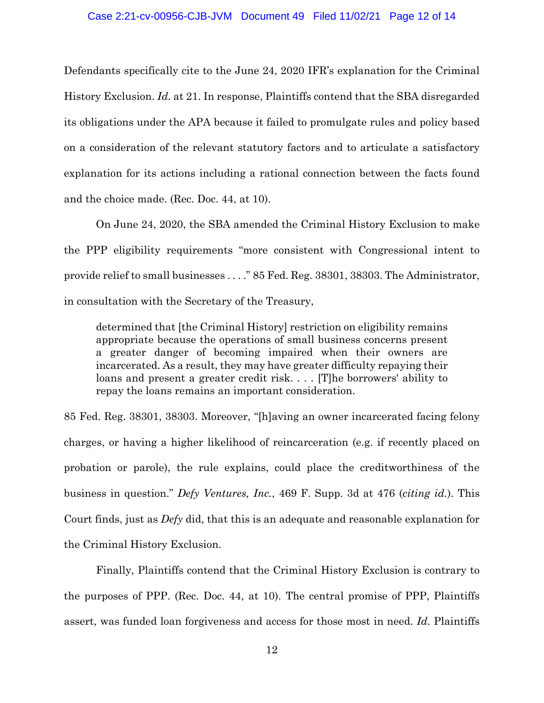## Case 2:21-cv-00956-CJB-JVM Document 49 Filed 11/02/21 Page 12 of 14

Defendants specifically cite to the June 24, 2020 IFR's explanation for the Criminal History Exclusion. *Id.* at 21. In response, Plaintiffs contend that the SBA disregarded its obligations under the APA because it failed to promulgate rules and policy based on a consideration of the relevant statutory factors and to articulate a satisfactory explanation for its actions including a rational connection between the facts found and the choice made. (Rec. Doc. 44, at 10).

On June 24, 2020, the SBA amended the Criminal History Exclusion to make the PPP eligibility requirements "more consistent with Congressional intent to provide relief to small businesses . . . ." 85 Fed. Reg. 38301, 38303. The Administrator, in consultation with the Secretary of the Treasury,

determined that [the Criminal History] restriction on eligibility remains appropriate because the operations of small business concerns present a greater danger of becoming impaired when their owners are incarcerated. As a result, they may have greater difficulty repaying their loans and present a greater credit risk. . . . [T]he borrowers' ability to repay the loans remains an important consideration.

85 Fed. Reg. 38301, 38303. Moreover, "[h]aving an owner incarcerated facing felony charges, or having a higher likelihood of reincarceration (e.g. if recently placed on probation or parole), the rule explains, could place the creditworthiness of the business in question." *Defy Ventures, Inc.*, 469 F. Supp. 3d at 476 (*citing id.*). This Court finds, just as *Defy* did, that this is an adequate and reasonable explanation for the Criminal History Exclusion.

Finally, Plaintiffs contend that the Criminal History Exclusion is contrary to the purposes of PPP. (Rec. Doc. 44, at 10). The central promise of PPP, Plaintiffs assert, was funded loan forgiveness and access for those most in need. *Id.* Plaintiffs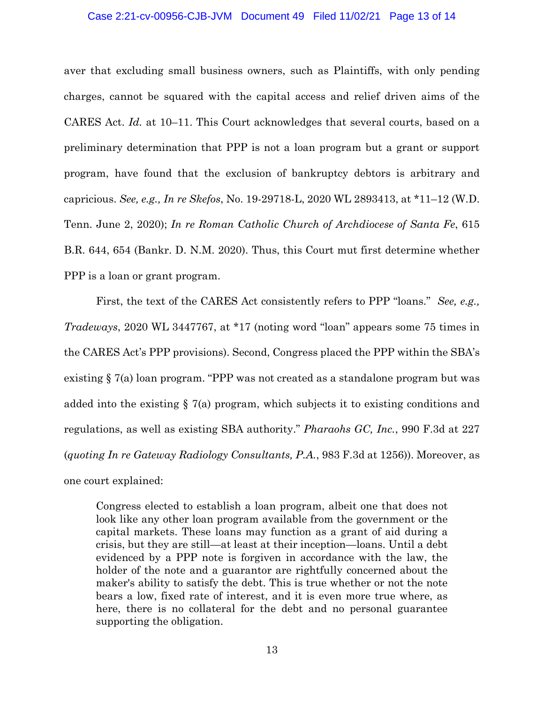#### Case 2:21-cv-00956-CJB-JVM Document 49 Filed 11/02/21 Page 13 of 14

aver that excluding small business owners, such as Plaintiffs, with only pending charges, cannot be squared with the capital access and relief driven aims of the CARES Act. *Id.* at 10–11. This Court acknowledges that several courts, based on a preliminary determination that PPP is not a loan program but a grant or support program, have found that the exclusion of bankruptcy debtors is arbitrary and capricious. *See, e.g., In re Skefos*, No. 19-29718-L, 2020 WL 2893413, at \*11–12 (W.D. Tenn. June 2, 2020); *In re Roman Catholic Church of Archdiocese of Santa Fe*, 615 B.R. 644, 654 (Bankr. D. N.M. 2020). Thus, this Court mut first determine whether PPP is a loan or grant program.

First, the text of the CARES Act consistently refers to PPP "loans." *See, e.g., Tradeways*, 2020 WL 3447767, at \*17 (noting word "loan" appears some 75 times in the CARES Act's PPP provisions). Second, Congress placed the PPP within the SBA's existing § 7(a) loan program. "PPP was not created as a standalone program but was added into the existing § 7(a) program, which subjects it to existing conditions and regulations, as well as existing SBA authority." *Pharaohs GC, Inc.*, 990 F.3d at 227 (*quoting In re Gateway Radiology Consultants, P.A.*, 983 F.3d at 1256)). Moreover, as one court explained:

Congress elected to establish a loan program, albeit one that does not look like any other loan program available from the government or the capital markets. These loans may function as a grant of aid during a crisis, but they are still—at least at their inception—loans. Until a debt evidenced by a PPP note is forgiven in accordance with the law, the holder of the note and a guarantor are rightfully concerned about the maker's ability to satisfy the debt. This is true whether or not the note bears a low, fixed rate of interest, and it is even more true where, as here, there is no collateral for the debt and no personal guarantee supporting the obligation.